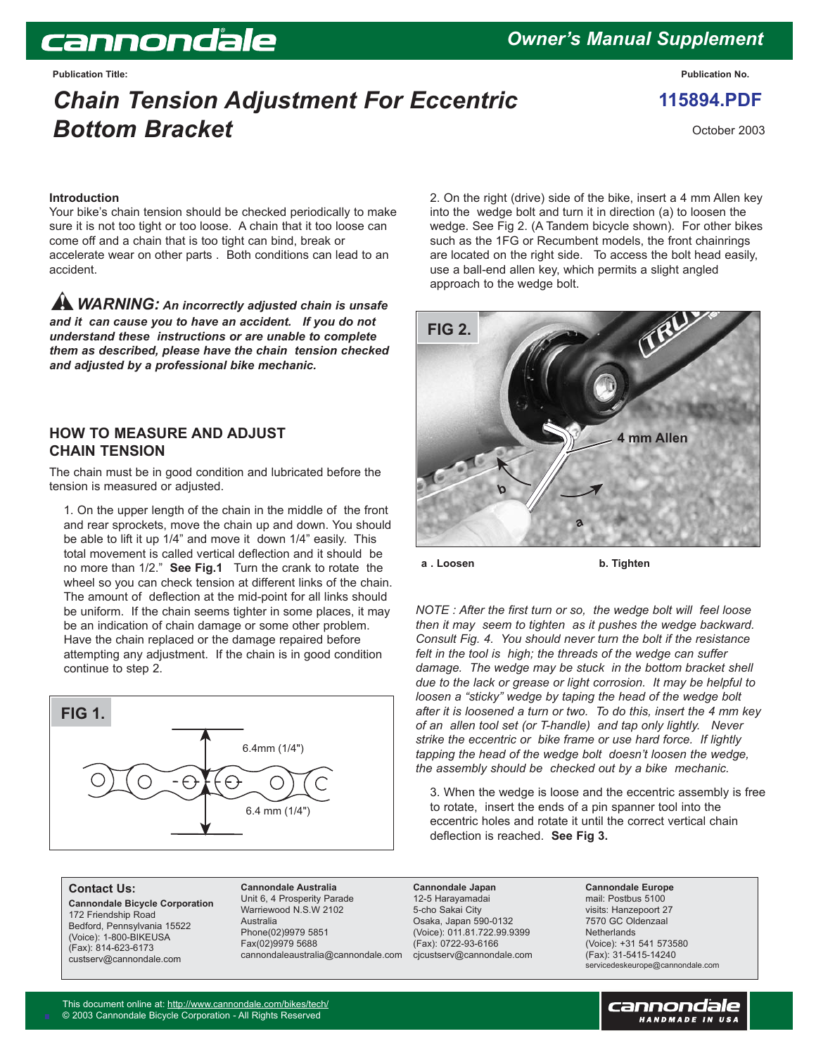# cannondale

## *Owner's Manual Supplement*

**Publication Title: Publication No.**

## *Chain Tension Adjustment For Eccentric Bottom Bracket*

**115894.PDF**

October 2003

#### **Introduction**

Your bike's chain tension should be checked periodically to make sure it is not too tight or too loose. A chain that it too loose can come off and a chain that is too tight can bind, break or accelerate wear on other parts . Both conditions can lead to an accident.

*WARNING: An incorrectly adjusted chain is unsafe and it can cause you to have an accident. If you do not understand these instructions or are unable to complete them as described, please have the chain tension checked and adjusted by a professional bike mechanic.* 

#### **HOW TO MEASURE AND ADJUST CHAIN TENSION**

The chain must be in good condition and lubricated before the tension is measured or adjusted.

1. On the upper length of the chain in the middle of the front and rear sprockets, move the chain up and down. You should be able to lift it up 1/4" and move it down 1/4" easily. This total movement is called vertical deflection and it should be no more than 1/2." **See Fig.1** Turn the crank to rotate the wheel so you can check tension at different links of the chain. The amount of deflection at the mid-point for all links should be uniform. If the chain seems tighter in some places, it may be an indication of chain damage or some other problem. Have the chain replaced or the damage repaired before attempting any adjustment. If the chain is in good condition continue to step 2.



#### **Contact Us:**

**Cannondale Bicycle Corporation** 172 Friendship Road Bedford, Pennsylvania 15522 (Voice): 1-800-BIKEUSA (Fax): 814-623-6173 custserv@cannondale.com

**Cannondale Australia** Unit 6, 4 Prosperity Parade Warriewood N.S.W 2102 Australia Phone(02)9979 5851 Fax(02)9979 5688 cannondaleaustralia@cannondale.com

2. On the right (drive) side of the bike, insert a 4 mm Allen key into the wedge bolt and turn it in direction (a) to loosen the wedge. See Fig 2. (A Tandem bicycle shown). For other bikes such as the 1FG or Recumbent models, the front chainrings are located on the right side. To access the bolt head easily, use a ball-end allen key, which permits a slight angled approach to the wedge bolt.



**a** . Loosen **b. Tighten** 

*NOTE : After the first turn or so, the wedge bolt will feel loose then it may seem to tighten as it pushes the wedge backward. Consult Fig. 4. You should never turn the bolt if the resistance felt in the tool is high; the threads of the wedge can suffer damage. The wedge may be stuck in the bottom bracket shell due to the lack or grease or light corrosion. It may be helpful to loosen a "sticky" wedge by taping the head of the wedge bolt after it is loosened a turn or two. To do this, insert the 4 mm key of an allen tool set (or T-handle) and tap only lightly. Never strike the eccentric or bike frame or use hard force. If lightly tapping the head of the wedge bolt doesn't loosen the wedge, the assembly should be checked out by a bike mechanic.* 

3. When the wedge is loose and the eccentric assembly is free to rotate, insert the ends of a pin spanner tool into the eccentric holes and rotate it until the correct vertical chain deflection is reached. **See Fig 3.** 

**Cannondale Japan** 12-5 Harayamadai 5-cho Sakai City Osaka, Japan 590-0132 (Voice): 011.81.722.99.9399 (Fax): 0722-93-6166 cjcustserv@cannondale.com

**Cannondale Europe** mail: Postbus 5100 visits: Hanzepoort 27 7570 GC Oldenzaal **Netherlands** (Voice): +31 541 573580 (Fax): 31-5415-14240 servicedeskeurope@cannondale.com